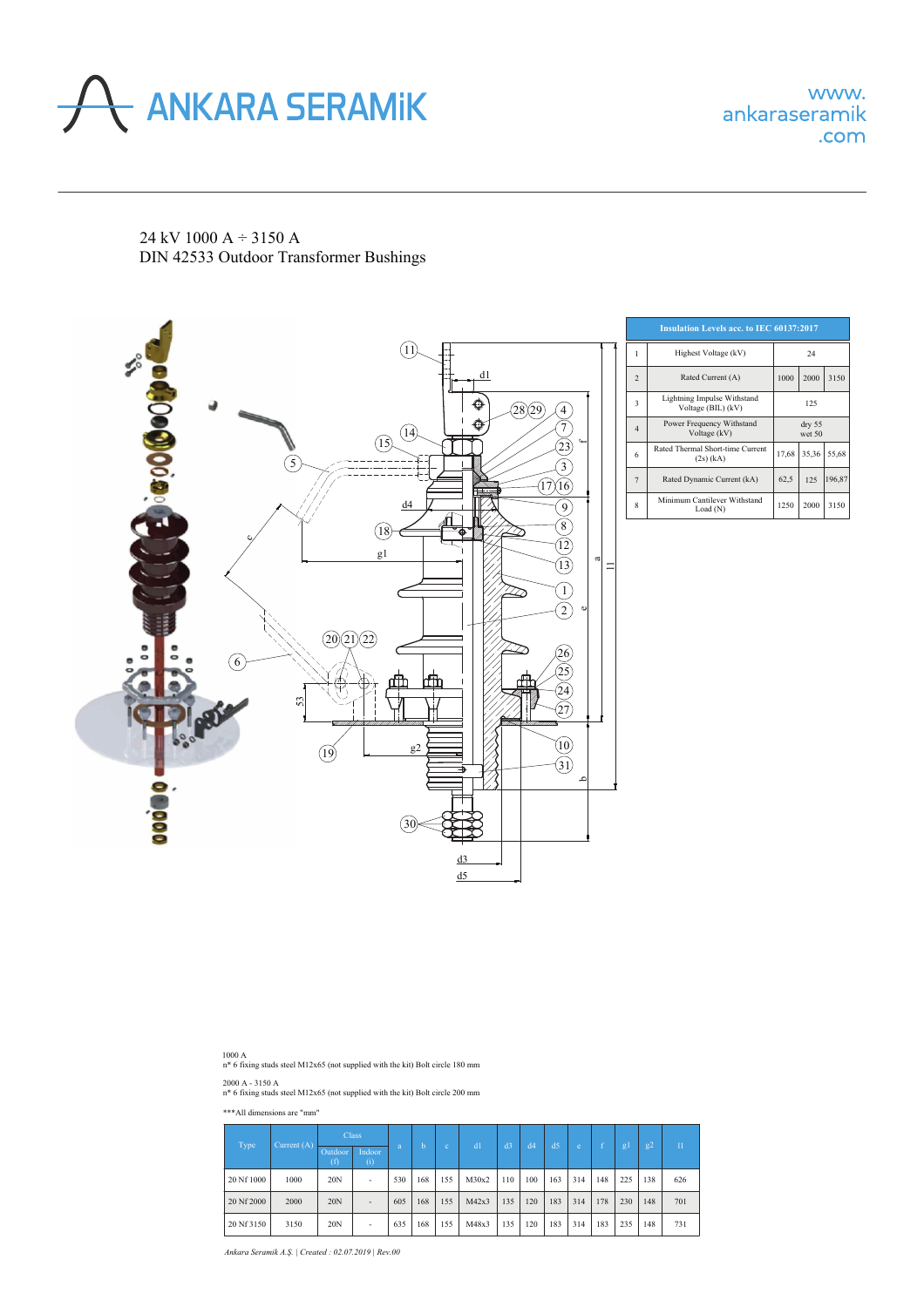

24 kV 1000 A ÷ 3150 А DIN 42533 Outdoor Transformer Bushings



| <b>Insulation Levels acc. to IEC 60137:2017</b> |                                                   |                            |        |       |  |  |  |  |  |  |
|-------------------------------------------------|---------------------------------------------------|----------------------------|--------|-------|--|--|--|--|--|--|
| 1                                               | Highest Voltage (kV)                              | 24                         |        |       |  |  |  |  |  |  |
| $\overline{2}$                                  | Rated Current (A)                                 | 1000                       | 2000   | 3150  |  |  |  |  |  |  |
| 3                                               | Lightning Impulse Withstand<br>Voltage (BIL) (kV) | 125                        |        |       |  |  |  |  |  |  |
| $\overline{4}$                                  | Power Frequency Withstand<br>Voltage (kV)         | $\text{dry } 55$<br>wet 50 |        |       |  |  |  |  |  |  |
| 6                                               | Rated Thermal Short-time Current<br>$(2s)$ (kA)   | 17.68                      | 35.36  | 55,68 |  |  |  |  |  |  |
| $\overline{7}$                                  | Rated Dynamic Current (kA)                        | 62,5                       | 196,87 |       |  |  |  |  |  |  |
| 8                                               | Minimum Cantilever Withstand<br>Load (N)          | 1250                       | 2000   | 3150  |  |  |  |  |  |  |

1000 A n\* 6 fixing studs steel M12x65 (not supplied with the kit) Bolt circle 180 mm

2000 A - 3150 A n\* 6 fixing studs steel M12x65 (not supplied with the kit) Bolt circle 200 mm

## \*\*\*All dimensions are "mm"

| Type       | Current $(A)$ |                | <b>Class</b>             |     |     |     |       |                |     |                |     |     |     |     |                 |
|------------|---------------|----------------|--------------------------|-----|-----|-----|-------|----------------|-----|----------------|-----|-----|-----|-----|-----------------|
|            |               | Outdoor<br>(f) | Indoor<br>(i)            | a   | h   | c.  | d     | d <sub>3</sub> | d4  | d <sub>5</sub> | e   |     | g   | g2  | $\overline{11}$ |
| 20 Nf 1000 | 1000          | 20N            | $\overline{\phantom{a}}$ | 530 | 168 | 155 | M30x2 | 110            | 100 | 163            | 314 | 148 | 225 | 138 | 626             |
| 20 Nf 2000 | 2000          | 20N            | $\overline{\phantom{a}}$ | 605 | 168 | 155 | M42x3 | 135            | 120 | 183            | 314 | 178 | 230 | 148 | 701             |
| 20 Nf 3150 | 3150          | 20N            | $\overline{\phantom{a}}$ | 635 | 168 | 155 | M48x3 | 135            | 120 | 183            | 314 | 183 | 235 | 148 | 731             |

*Ankara Seramik A.Ş. | Created : 02.07.2019 | Rev.00*